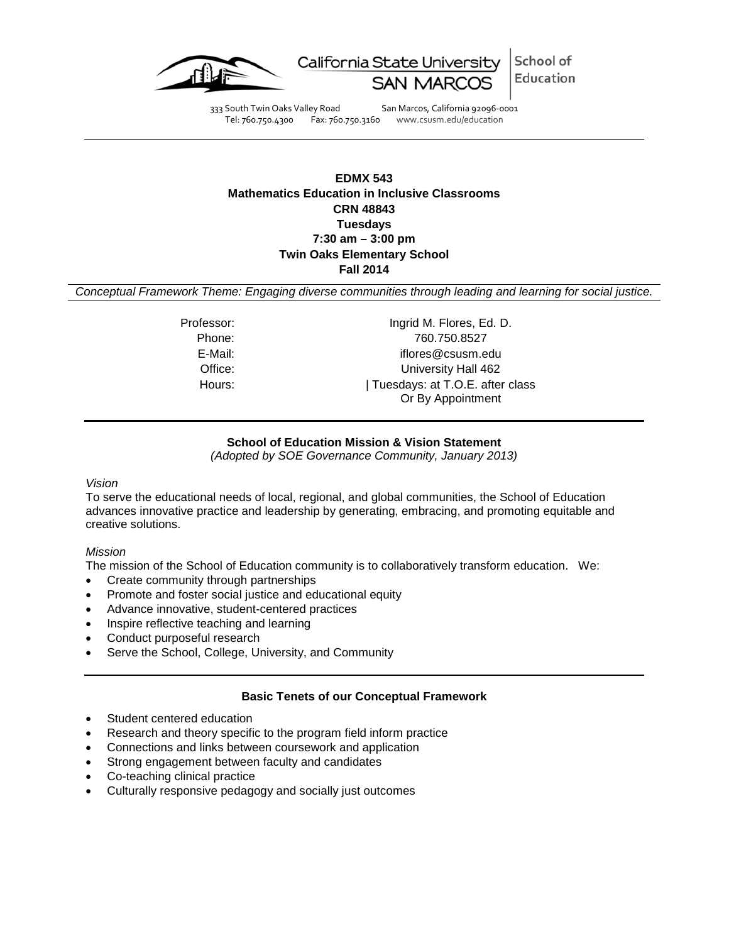

School of California State University Education

333 South Twin Oaks Valley Road San Marcos, California 92096-0001 Tel: 760.750.4300 Fax: 760.750.3160 www.csusm.edu/education

## **EDMX 543 Mathematics Education in Inclusive Classrooms CRN 48843 Tuesdays 7:30 am – 3:00 pm Twin Oaks Elementary School Fall 2014**

*Conceptual Framework Theme: Engaging diverse communities through leading and learning for social justice.*

Professor: Ingrid M. Flores, Ed. D. Phone: 760.750.8527 E-Mail: iflores@csusm.edu Office: University Hall 462 Hours:  $|$  Tuesdays: at T.O.E. after class Or By Appointment

## **School of Education Mission & Vision Statement**

*(Adopted by SOE Governance Community, January 2013)*

#### *Vision*

To serve the educational needs of local, regional, and global communities, the School of Education advances innovative practice and leadership by generating, embracing, and promoting equitable and creative solutions.

## *Mission*

The mission of the School of Education community is to collaboratively transform education. We:

- Create community through partnerships
- Promote and foster social justice and educational equity
- Advance innovative, student-centered practices
- Inspire reflective teaching and learning
- Conduct purposeful research
- Serve the School, College, University, and Community

## **Basic Tenets of our Conceptual Framework**

- Student centered education
- Research and theory specific to the program field inform practice
- Connections and links between coursework and application
- Strong engagement between faculty and candidates
- Co-teaching clinical practice
- Culturally responsive pedagogy and socially just outcomes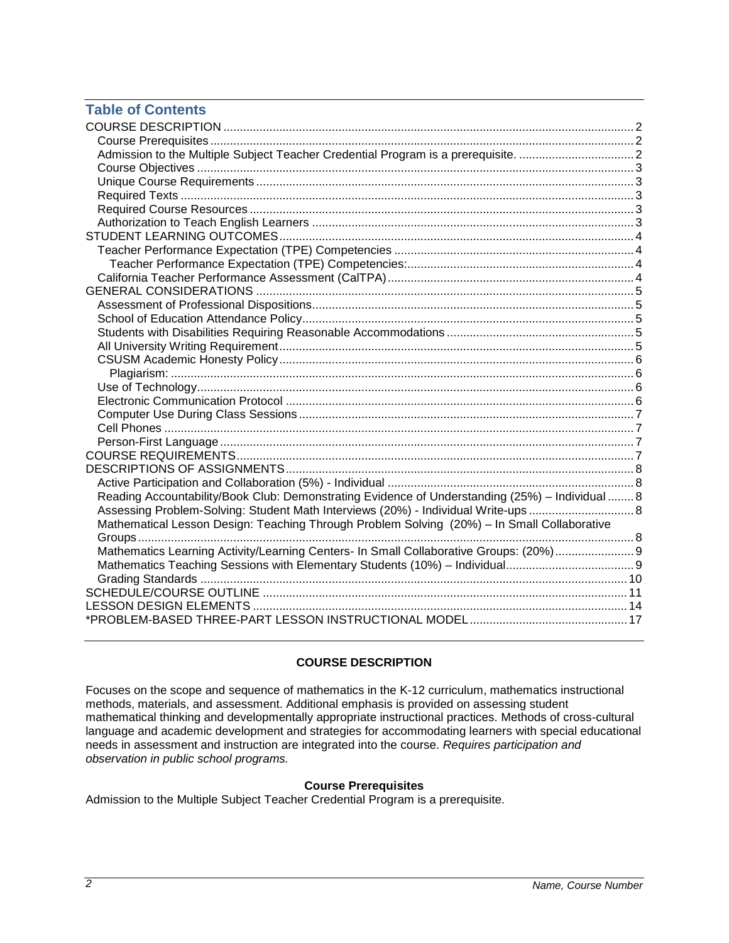# **Table of Contents**

| Reading Accountability/Book Club: Demonstrating Evidence of Understanding (25%) - Individual  8 |  |
|-------------------------------------------------------------------------------------------------|--|
| Assessing Problem-Solving: Student Math Interviews (20%) - Individual Write-ups  8              |  |
| Mathematical Lesson Design: Teaching Through Problem Solving (20%) - In Small Collaborative     |  |
|                                                                                                 |  |
| Mathematics Learning Activity/Learning Centers- In Small Collaborative Groups: (20%) 9          |  |
|                                                                                                 |  |
|                                                                                                 |  |
|                                                                                                 |  |
|                                                                                                 |  |
|                                                                                                 |  |

# **COURSE DESCRIPTION**

<span id="page-1-0"></span>Focuses on the scope and sequence of mathematics in the K-12 curriculum, mathematics instructional methods, materials, and assessment. Additional emphasis is provided on assessing student mathematical thinking and developmentally appropriate instructional practices. Methods of cross-cultural language and academic development and strategies for accommodating learners with special educational needs in assessment and instruction are integrated into the course. *Requires participation and observation in public school programs.*

## **Course Prerequisites**

<span id="page-1-3"></span><span id="page-1-2"></span><span id="page-1-1"></span>Admission to the Multiple Subject Teacher Credential Program is a prerequisite.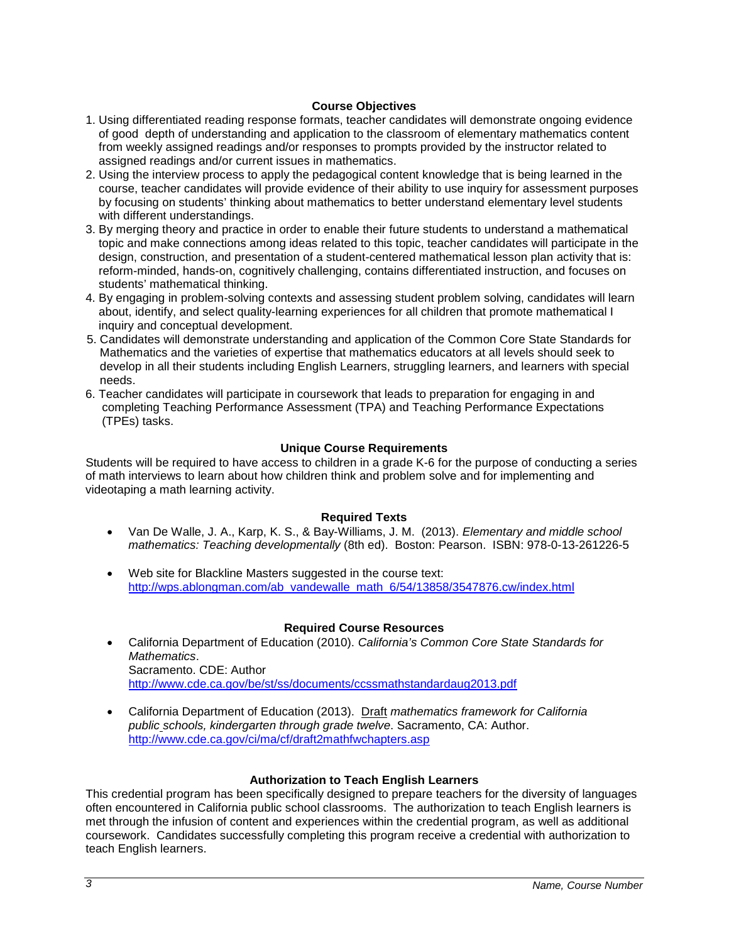## **Course Objectives**

- 1. Using differentiated reading response formats, teacher candidates will demonstrate ongoing evidence of good depth of understanding and application to the classroom of elementary mathematics content from weekly assigned readings and/or responses to prompts provided by the instructor related to assigned readings and/or current issues in mathematics.
- 2. Using the interview process to apply the pedagogical content knowledge that is being learned in the course, teacher candidates will provide evidence of their ability to use inquiry for assessment purposes by focusing on students' thinking about mathematics to better understand elementary level students with different understandings.
- 3. By merging theory and practice in order to enable their future students to understand a mathematical topic and make connections among ideas related to this topic, teacher candidates will participate in the design, construction, and presentation of a student-centered mathematical lesson plan activity that is: reform-minded, hands-on, cognitively challenging, contains differentiated instruction, and focuses on students' mathematical thinking.
- 4. By engaging in problem-solving contexts and assessing student problem solving, candidates will learn about, identify, and select quality-learning experiences for all children that promote mathematical I inquiry and conceptual development.
- 5. Candidates will demonstrate understanding and application of the Common Core State Standards for Mathematics and the varieties of expertise that mathematics educators at all levels should seek to develop in all their students including English Learners, struggling learners, and learners with special needs.
- 6. Teacher candidates will participate in coursework that leads to preparation for engaging in and completing Teaching Performance Assessment (TPA) and Teaching Performance Expectations (TPEs) tasks.

## **Unique Course Requirements**

<span id="page-2-0"></span>Students will be required to have access to children in a grade K-6 for the purpose of conducting a series of math interviews to learn about how children think and problem solve and for implementing and videotaping a math learning activity.

## **Required Texts**

- <span id="page-2-1"></span>• Van De Walle, J. A., Karp, K. S., & Bay-Williams, J. M. (2013). *Elementary and middle school mathematics: Teaching developmentally* (8th ed). Boston: Pearson. ISBN: 978-0-13-261226-5
- Web site for Blackline Masters suggested in the course text: [http://wps.ablongman.com/ab\\_vandewalle\\_math\\_6/54/13858/3547876.cw/index.html](http://wps.ablongman.com/ab_vandewalle_math_6/54/13858/3547876.cw/index.html)

## **Required Course Resources**

- <span id="page-2-2"></span>• California Department of Education (2010). *California's Common Core State Standards for Mathematics*. Sacramento. CDE: Author <http://www.cde.ca.gov/be/st/ss/documents/ccssmathstandardaug2013.pdf>
- California Department of Education (2013). Draft *mathematics framework for California public schools, kindergarten through grade twelve*. Sacramento, CA: Author. <http://www.cde.ca.gov/ci/ma/cf/draft2mathfwchapters.asp>

## **Authorization to Teach English Learners**

<span id="page-2-3"></span>This credential program has been specifically designed to prepare teachers for the diversity of languages often encountered in California public school classrooms. The authorization to teach English learners is met through the infusion of content and experiences within the credential program, as well as additional coursework. Candidates successfully completing this program receive a credential with authorization to teach English learners.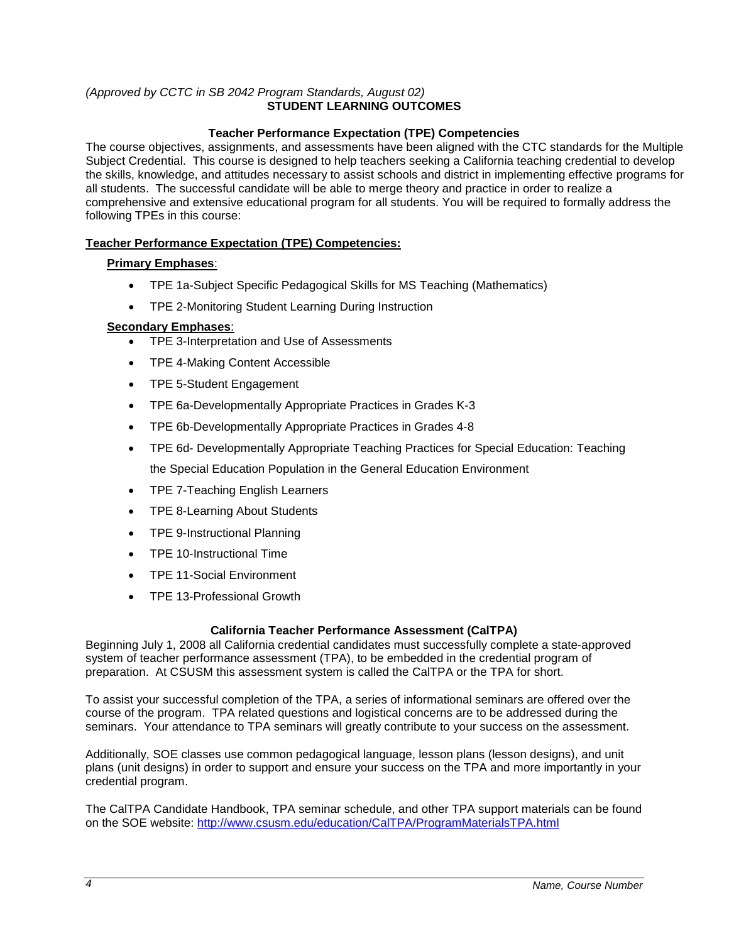## <span id="page-3-0"></span>*(Approved by CCTC in SB 2042 Program Standards, August 02)* **STUDENT LEARNING OUTCOMES**

## **Teacher Performance Expectation (TPE) Competencies**

<span id="page-3-1"></span>The course objectives, assignments, and assessments have been aligned with the CTC standards for the Multiple Subject Credential. This course is designed to help teachers seeking a California teaching credential to develop the skills, knowledge, and attitudes necessary to assist schools and district in implementing effective programs for all students. The successful candidate will be able to merge theory and practice in order to realize a comprehensive and extensive educational program for all students. You will be required to formally address the following TPEs in this course:

## <span id="page-3-2"></span>**Teacher Performance Expectation (TPE) Competencies:**

## **Primary Emphases**:

- TPE 1a-Subject Specific Pedagogical Skills for MS Teaching (Mathematics)
- TPE 2-Monitoring Student Learning During Instruction

## **Secondary Emphases**:

- TPE 3-Interpretation and Use of Assessments
- TPE 4-Making Content Accessible
- TPE 5-Student Engagement
- TPE 6a-Developmentally Appropriate Practices in Grades K-3
- TPE 6b-Developmentally Appropriate Practices in Grades 4-8
- TPE 6d- Developmentally Appropriate Teaching Practices for Special Education: Teaching the Special Education Population in the General Education Environment
- TPE 7-Teaching English Learners
- TPE 8-Learning About Students
- TPE 9-Instructional Planning
- TPE 10-Instructional Time
- TPE 11-Social Environment
- TPE 13-Professional Growth

## **California Teacher Performance Assessment (CalTPA)**

<span id="page-3-3"></span>Beginning July 1, 2008 all California credential candidates must successfully complete a state-approved system of teacher performance assessment (TPA), to be embedded in the credential program of preparation. At CSUSM this assessment system is called the CalTPA or the TPA for short.

To assist your successful completion of the TPA, a series of informational seminars are offered over the course of the program. TPA related questions and logistical concerns are to be addressed during the seminars. Your attendance to TPA seminars will greatly contribute to your success on the assessment.

Additionally, SOE classes use common pedagogical language, lesson plans (lesson designs), and unit plans (unit designs) in order to support and ensure your success on the TPA and more importantly in your credential program.

<span id="page-3-4"></span>The CalTPA Candidate Handbook, TPA seminar schedule, and other TPA support materials can be found on the SOE website: <http://www.csusm.edu/education/CalTPA/ProgramMaterialsTPA.html>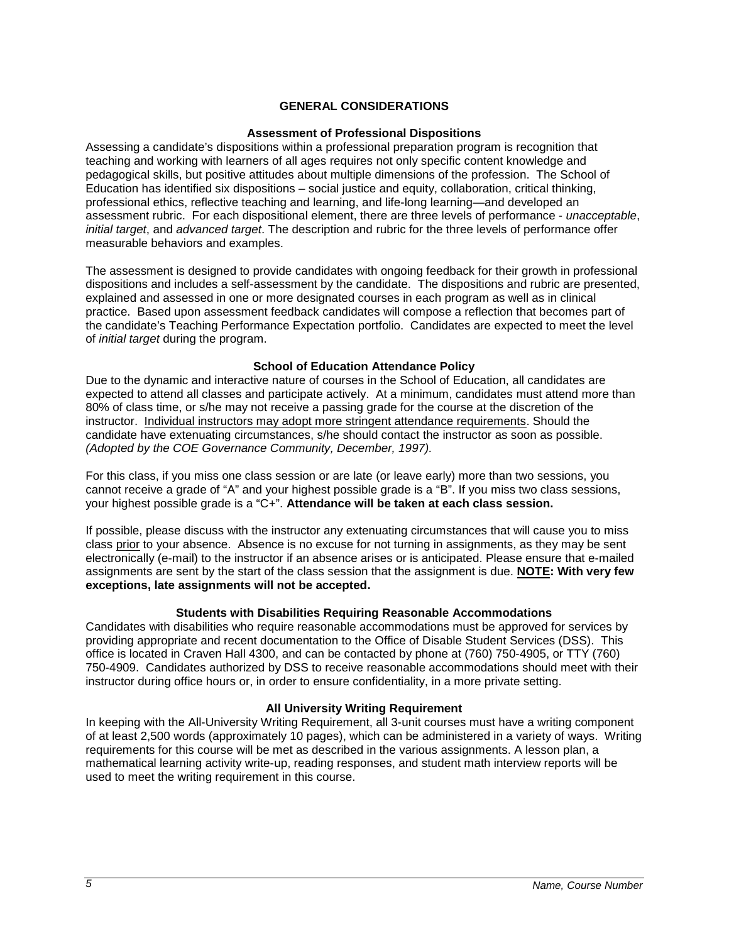## **GENERAL CONSIDERATIONS**

#### **Assessment of Professional Dispositions**

<span id="page-4-0"></span>Assessing a candidate's dispositions within a professional preparation program is recognition that teaching and working with learners of all ages requires not only specific content knowledge and pedagogical skills, but positive attitudes about multiple dimensions of the profession. The School of Education has identified six dispositions – social justice and equity, collaboration, critical thinking, professional ethics, reflective teaching and learning, and life-long learning—and developed an assessment rubric. For each dispositional element, there are three levels of performance - *unacceptable*, *initial target*, and *advanced target*. The description and rubric for the three levels of performance offer measurable behaviors and examples.

The assessment is designed to provide candidates with ongoing feedback for their growth in professional dispositions and includes a self-assessment by the candidate. The dispositions and rubric are presented, explained and assessed in one or more designated courses in each program as well as in clinical practice. Based upon assessment feedback candidates will compose a reflection that becomes part of the candidate's Teaching Performance Expectation portfolio. Candidates are expected to meet the level of *initial target* during the program.

#### **School of Education Attendance Policy**

<span id="page-4-1"></span>Due to the dynamic and interactive nature of courses in the School of Education, all candidates are expected to attend all classes and participate actively. At a minimum, candidates must attend more than 80% of class time, or s/he may not receive a passing grade for the course at the discretion of the instructor. Individual instructors may adopt more stringent attendance requirements. Should the candidate have extenuating circumstances, s/he should contact the instructor as soon as possible. *(Adopted by the COE Governance Community, December, 1997).*

For this class, if you miss one class session or are late (or leave early) more than two sessions, you cannot receive a grade of "A" and your highest possible grade is a "B". If you miss two class sessions, your highest possible grade is a "C+". **Attendance will be taken at each class session.**

If possible, please discuss with the instructor any extenuating circumstances that will cause you to miss class prior to your absence. Absence is no excuse for not turning in assignments, as they may be sent electronically (e-mail) to the instructor if an absence arises or is anticipated. Please ensure that e-mailed assignments are sent by the start of the class session that the assignment is due. **NOTE: With very few exceptions, late assignments will not be accepted.**

#### **Students with Disabilities Requiring Reasonable Accommodations**

<span id="page-4-2"></span>Candidates with disabilities who require reasonable accommodations must be approved for services by providing appropriate and recent documentation to the Office of Disable Student Services (DSS). This office is located in Craven Hall 4300, and can be contacted by phone at (760) 750-4905, or TTY (760) 750-4909. Candidates authorized by DSS to receive reasonable accommodations should meet with their instructor during office hours or, in order to ensure confidentiality, in a more private setting.

#### **All University Writing Requirement**

<span id="page-4-4"></span><span id="page-4-3"></span>In keeping with the All-University Writing Requirement, all 3-unit courses must have a writing component of at least 2,500 words (approximately 10 pages), which can be administered in a variety of ways. Writing requirements for this course will be met as described in the various assignments. A lesson plan, a mathematical learning activity write-up, reading responses, and student math interview reports will be used to meet the writing requirement in this course.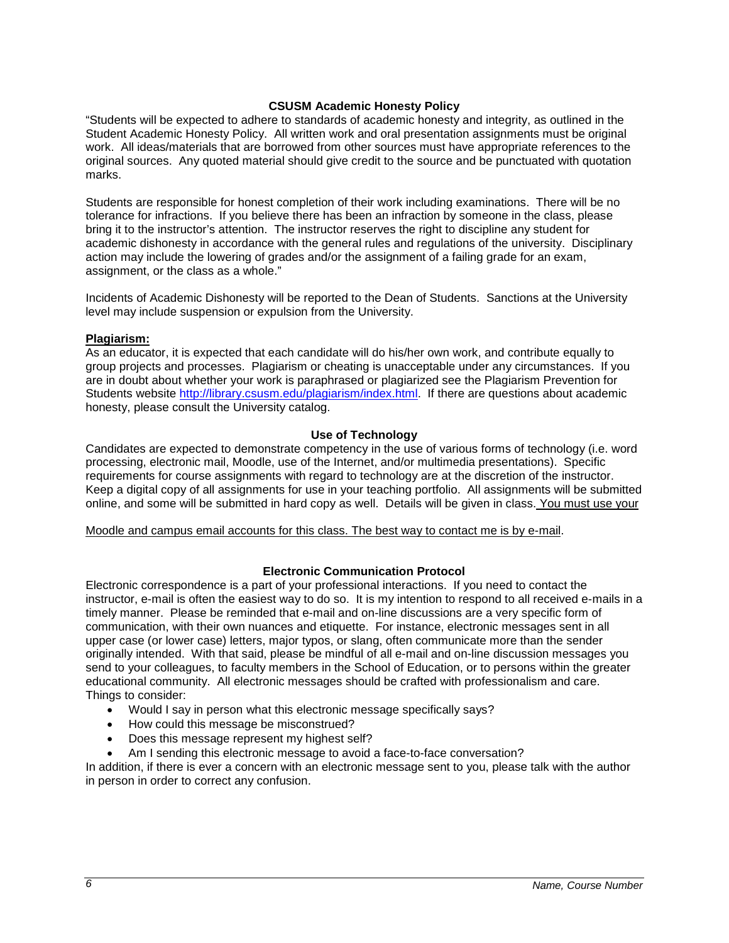## **CSUSM Academic Honesty Policy**

"Students will be expected to adhere to standards of academic honesty and integrity, as outlined in the Student Academic Honesty Policy. All written work and oral presentation assignments must be original work. All ideas/materials that are borrowed from other sources must have appropriate references to the original sources. Any quoted material should give credit to the source and be punctuated with quotation marks.

Students are responsible for honest completion of their work including examinations. There will be no tolerance for infractions. If you believe there has been an infraction by someone in the class, please bring it to the instructor's attention. The instructor reserves the right to discipline any student for academic dishonesty in accordance with the general rules and regulations of the university. Disciplinary action may include the lowering of grades and/or the assignment of a failing grade for an exam, assignment, or the class as a whole."

Incidents of Academic Dishonesty will be reported to the Dean of Students. Sanctions at the University level may include suspension or expulsion from the University.

#### <span id="page-5-0"></span>**Plagiarism:**

As an educator, it is expected that each candidate will do his/her own work, and contribute equally to group projects and processes. Plagiarism or cheating is unacceptable under any circumstances. If you are in doubt about whether your work is paraphrased or plagiarized see the Plagiarism Prevention for Students website [http://library.csusm.edu/plagiarism/index.html.](http://library.csusm.edu/plagiarism/index.html) If there are questions about academic honesty, please consult the University catalog.

#### **Use of Technology**

<span id="page-5-1"></span>Candidates are expected to demonstrate competency in the use of various forms of technology (i.e. word processing, electronic mail, Moodle, use of the Internet, and/or multimedia presentations). Specific requirements for course assignments with regard to technology are at the discretion of the instructor. Keep a digital copy of all assignments for use in your teaching portfolio. All assignments will be submitted online, and some will be submitted in hard copy as well. Details will be given in class. You must use your

Moodle and campus email accounts for this class. The best way to contact me is by e-mail.

#### **Electronic Communication Protocol**

<span id="page-5-2"></span>Electronic correspondence is a part of your professional interactions. If you need to contact the instructor, e-mail is often the easiest way to do so. It is my intention to respond to all received e-mails in a timely manner. Please be reminded that e-mail and on-line discussions are a very specific form of communication, with their own nuances and etiquette. For instance, electronic messages sent in all upper case (or lower case) letters, major typos, or slang, often communicate more than the sender originally intended. With that said, please be mindful of all e-mail and on-line discussion messages you send to your colleagues, to faculty members in the School of Education, or to persons within the greater educational community. All electronic messages should be crafted with professionalism and care. Things to consider:

- Would I say in person what this electronic message specifically says?
- How could this message be misconstrued?
- Does this message represent my highest self?
- Am I sending this electronic message to avoid a face-to-face conversation?

<span id="page-5-3"></span>In addition, if there is ever a concern with an electronic message sent to you, please talk with the author in person in order to correct any confusion.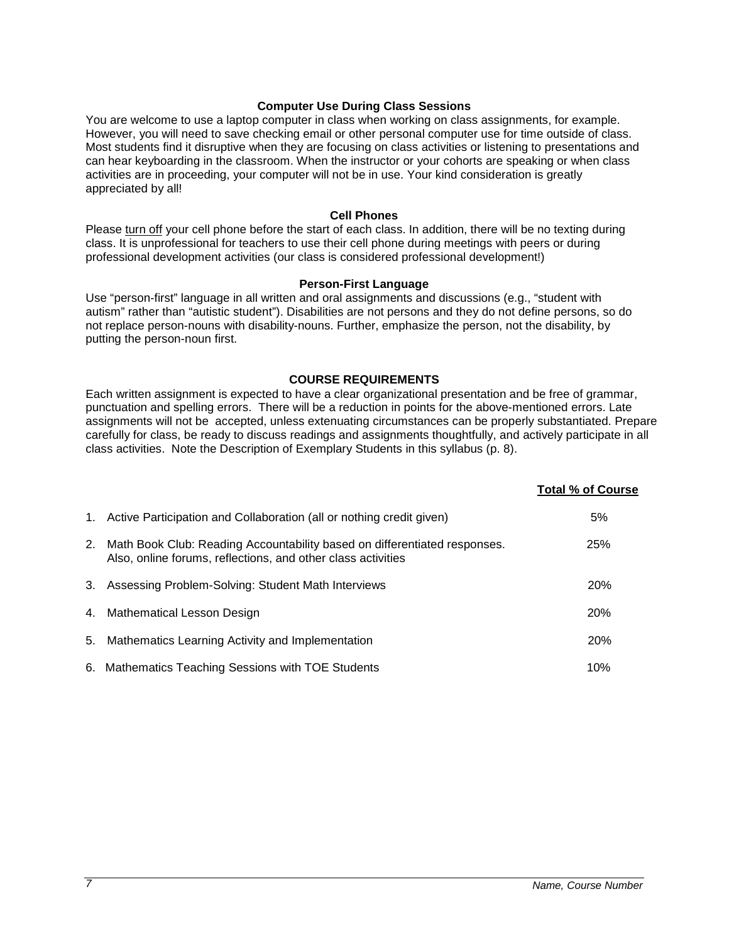#### **Computer Use During Class Sessions**

You are welcome to use a laptop computer in class when working on class assignments, for example. However, you will need to save checking email or other personal computer use for time outside of class. Most students find it disruptive when they are focusing on class activities or listening to presentations and can hear keyboarding in the classroom. When the instructor or your cohorts are speaking or when class activities are in proceeding, your computer will not be in use. Your kind consideration is greatly appreciated by all!

## **Cell Phones**

<span id="page-6-0"></span>Please turn off your cell phone before the start of each class. In addition, there will be no texting during class. It is unprofessional for teachers to use their cell phone during meetings with peers or during professional development activities (our class is considered professional development!)

#### **Person-First Language**

<span id="page-6-1"></span>Use "person-first" language in all written and oral assignments and discussions (e.g., "student with autism" rather than "autistic student"). Disabilities are not persons and they do not define persons, so do not replace person-nouns with disability-nouns. Further, emphasize the person, not the disability, by putting the person-noun first.

## **COURSE REQUIREMENTS**

<span id="page-6-2"></span>Each written assignment is expected to have a clear organizational presentation and be free of grammar, punctuation and spelling errors. There will be a reduction in points for the above-mentioned errors. Late assignments will not be accepted, unless extenuating circumstances can be properly substantiated. Prepare carefully for class, be ready to discuss readings and assignments thoughtfully, and actively participate in all class activities. Note the Description of Exemplary Students in this syllabus (p. 8).

|    |                                                                                                                                           | <b>Total % of Course</b> |
|----|-------------------------------------------------------------------------------------------------------------------------------------------|--------------------------|
|    | 1. Active Participation and Collaboration (all or nothing credit given)                                                                   | 5%                       |
| 2. | Math Book Club: Reading Accountability based on differentiated responses.<br>Also, online forums, reflections, and other class activities | 25%                      |
|    | 3. Assessing Problem-Solving: Student Math Interviews                                                                                     | <b>20%</b>               |
|    | 4. Mathematical Lesson Design                                                                                                             | 20%                      |
| 5. | Mathematics Learning Activity and Implementation                                                                                          | 20%                      |
|    | 6. Mathematics Teaching Sessions with TOE Students                                                                                        | 10%                      |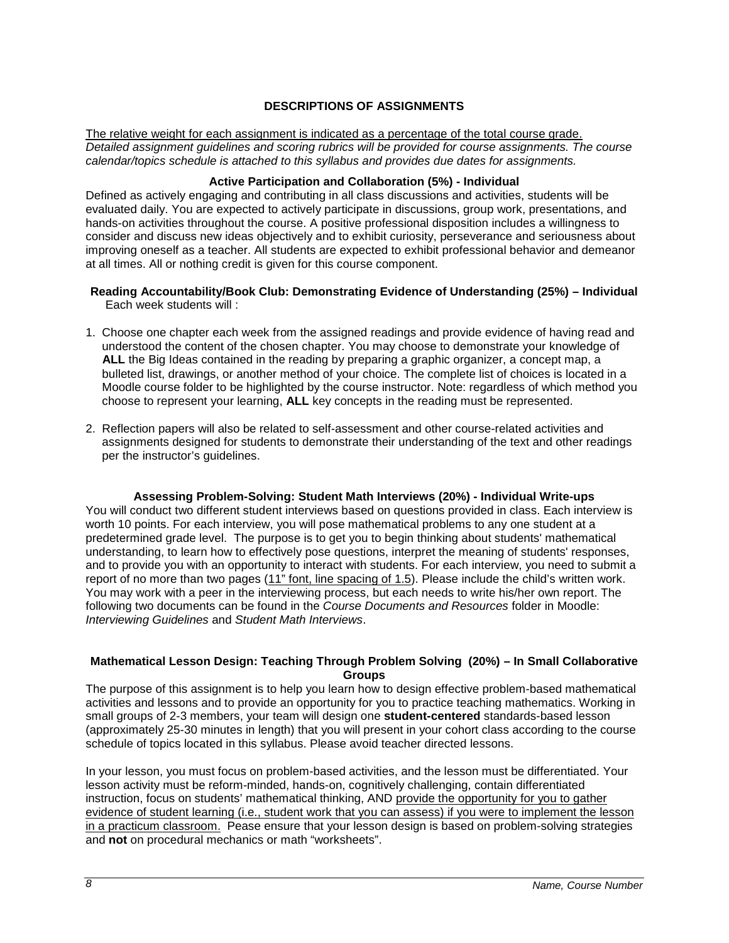## **DESCRIPTIONS OF ASSIGNMENTS**

<span id="page-7-0"></span>The relative weight for each assignment is indicated as a percentage of the total course grade. *Detailed assignment guidelines and scoring rubrics will be provided for course assignments. The course calendar/topics schedule is attached to this syllabus and provides due dates for assignments.*

## **Active Participation and Collaboration (5%) - Individual**

<span id="page-7-1"></span>Defined as actively engaging and contributing in all class discussions and activities, students will be evaluated daily. You are expected to actively participate in discussions, group work, presentations, and hands-on activities throughout the course. A positive professional disposition includes a willingness to consider and discuss new ideas objectively and to exhibit curiosity, perseverance and seriousness about improving oneself as a teacher. All students are expected to exhibit professional behavior and demeanor at all times. All or nothing credit is given for this course component.

- <span id="page-7-2"></span>**Reading Accountability/Book Club: Demonstrating Evidence of Understanding (25%) – Individual** Each week students will :
- 1. Choose one chapter each week from the assigned readings and provide evidence of having read and understood the content of the chosen chapter. You may choose to demonstrate your knowledge of **ALL** the Big Ideas contained in the reading by preparing a graphic organizer, a concept map, a bulleted list, drawings, or another method of your choice. The complete list of choices is located in a Moodle course folder to be highlighted by the course instructor. Note: regardless of which method you choose to represent your learning, **ALL** key concepts in the reading must be represented.
- 2. Reflection papers will also be related to self-assessment and other course-related activities and assignments designed for students to demonstrate their understanding of the text and other readings per the instructor's guidelines.

#### **Assessing Problem-Solving: Student Math Interviews (20%) - Individual Write-ups**

<span id="page-7-3"></span>You will conduct two different student interviews based on questions provided in class. Each interview is worth 10 points. For each interview, you will pose mathematical problems to any one student at a predetermined grade level. The purpose is to get you to begin thinking about students' mathematical understanding, to learn how to effectively pose questions, interpret the meaning of students' responses, and to provide you with an opportunity to interact with students. For each interview, you need to submit a report of no more than two pages (11" font, line spacing of 1.5). Please include the child's written work. You may work with a peer in the interviewing process, but each needs to write his/her own report. The following two documents can be found in the *Course Documents and Resources* folder in Moodle: *Interviewing Guidelines* and *Student Math Interviews*.

## <span id="page-7-4"></span>**Mathematical Lesson Design: Teaching Through Problem Solving (20%) – In Small Collaborative Groups**

The purpose of this assignment is to help you learn how to design effective problem-based mathematical activities and lessons and to provide an opportunity for you to practice teaching mathematics. Working in small groups of 2-3 members, your team will design one **student-centered** standards-based lesson (approximately 25-30 minutes in length) that you will present in your cohort class according to the course schedule of topics located in this syllabus. Please avoid teacher directed lessons.

In your lesson, you must focus on problem-based activities, and the lesson must be differentiated. Your lesson activity must be reform-minded, hands-on, cognitively challenging, contain differentiated instruction, focus on students' mathematical thinking, AND provide the opportunity for you to gather evidence of student learning (i.e., student work that you can assess) if you were to implement the lesson in a practicum classroom. Pease ensure that your lesson design is based on problem-solving strategies and **not** on procedural mechanics or math "worksheets".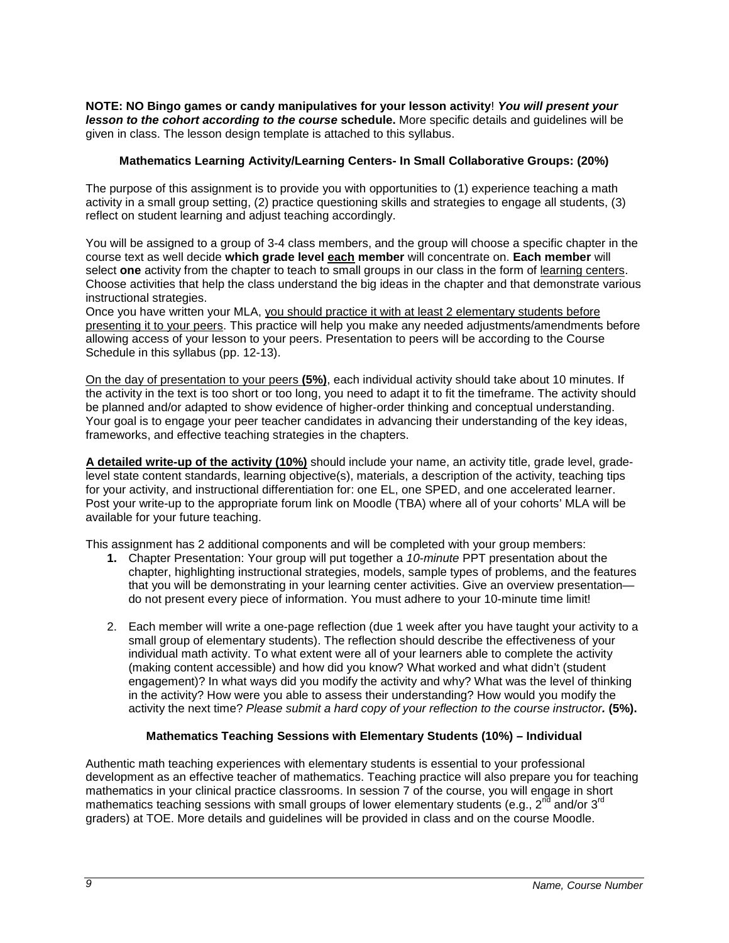**NOTE: NO Bingo games or candy manipulatives for your lesson activity**! *You will present your lesson to the cohort according to the course* **schedule.** More specific details and guidelines will be given in class. The lesson design template is attached to this syllabus.

## **Mathematics Learning Activity/Learning Centers- In Small Collaborative Groups: (20%)**

<span id="page-8-0"></span>The purpose of this assignment is to provide you with opportunities to (1) experience teaching a math activity in a small group setting, (2) practice questioning skills and strategies to engage all students, (3) reflect on student learning and adjust teaching accordingly.

You will be assigned to a group of 3-4 class members, and the group will choose a specific chapter in the course text as well decide **which grade level each member** will concentrate on. **Each member** will select **one** activity from the chapter to teach to small groups in our class in the form of learning centers. Choose activities that help the class understand the big ideas in the chapter and that demonstrate various instructional strategies.

Once you have written your MLA, you should practice it with at least 2 elementary students before presenting it to your peers. This practice will help you make any needed adjustments/amendments before allowing access of your lesson to your peers. Presentation to peers will be according to the Course Schedule in this syllabus (pp. 12-13).

On the day of presentation to your peers **(5%)**, each individual activity should take about 10 minutes. If the activity in the text is too short or too long, you need to adapt it to fit the timeframe. The activity should be planned and/or adapted to show evidence of higher-order thinking and conceptual understanding. Your goal is to engage your peer teacher candidates in advancing their understanding of the key ideas, frameworks, and effective teaching strategies in the chapters.

**A detailed write-up of the activity (10%)** should include your name, an activity title, grade level, gradelevel state content standards, learning objective(s), materials, a description of the activity, teaching tips for your activity, and instructional differentiation for: one EL, one SPED, and one accelerated learner. Post your write-up to the appropriate forum link on Moodle (TBA) where all of your cohorts' MLA will be available for your future teaching.

This assignment has 2 additional components and will be completed with your group members:

- **1.** Chapter Presentation: Your group will put together a *10-minute* PPT presentation about the chapter, highlighting instructional strategies, models, sample types of problems, and the features that you will be demonstrating in your learning center activities. Give an overview presentation do not present every piece of information. You must adhere to your 10-minute time limit!
- 2. Each member will write a one-page reflection (due 1 week after you have taught your activity to a small group of elementary students). The reflection should describe the effectiveness of your individual math activity. To what extent were all of your learners able to complete the activity (making content accessible) and how did you know? What worked and what didn't (student engagement)? In what ways did you modify the activity and why? What was the level of thinking in the activity? How were you able to assess their understanding? How would you modify the activity the next time? *Please submit a hard copy of your reflection to the course instructor.* **(5%).**

## **Mathematics Teaching Sessions with Elementary Students (10%) – Individual**

<span id="page-8-1"></span>Authentic math teaching experiences with elementary students is essential to your professional development as an effective teacher of mathematics. Teaching practice will also prepare you for teaching mathematics in your clinical practice classrooms. In session 7 of the course, you will engage in short mathematics teaching sessions with small groups of lower elementary students (e.g.,  $2^{nd}$  and/or  $3^{rd}$ graders) at TOE. More details and guidelines will be provided in class and on the course Moodle.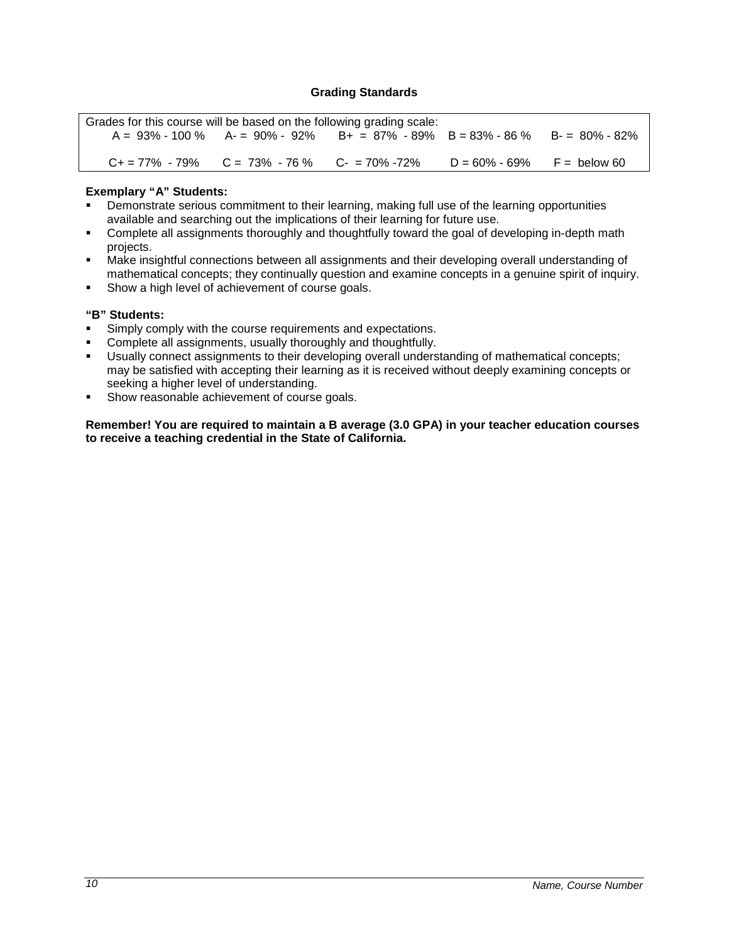## **Grading Standards**

<span id="page-9-0"></span>

| Grades for this course will be based on the following grading scale: |                                                           |                                                                                              |                                |  |
|----------------------------------------------------------------------|-----------------------------------------------------------|----------------------------------------------------------------------------------------------|--------------------------------|--|
|                                                                      |                                                           | $A = 93\% - 100\%$ $A = 90\% - 92\%$ $B + = 87\% - 89\%$ $B = 83\% - 86\%$ $B = 80\% - 82\%$ |                                |  |
|                                                                      |                                                           |                                                                                              |                                |  |
|                                                                      | $C_+ = 77\% - 79\%$ $C = 73\% - 76\%$ $C_- = 70\% - 72\%$ |                                                                                              | $D = 60\% - 69\%$ F = below 60 |  |

## **Exemplary "A" Students:**

- Demonstrate serious commitment to their learning, making full use of the learning opportunities available and searching out the implications of their learning for future use.
- Complete all assignments thoroughly and thoughtfully toward the goal of developing in-depth math projects.
- Make insightful connections between all assignments and their developing overall understanding of mathematical concepts; they continually question and examine concepts in a genuine spirit of inquiry.
- **Show a high level of achievement of course goals.**

## **"B" Students:**

- **Simply comply with the course requirements and expectations.**
- **Complete all assignments, usually thoroughly and thoughtfully.**<br> **Complete assignments to their developing overall unders**
- Usually connect assignments to their developing overall understanding of mathematical concepts; may be satisfied with accepting their learning as it is received without deeply examining concepts or seeking a higher level of understanding.
- **Show reasonable achievement of course goals.**

**Remember! You are required to maintain a B average (3.0 GPA) in your teacher education courses to receive a teaching credential in the State of California.**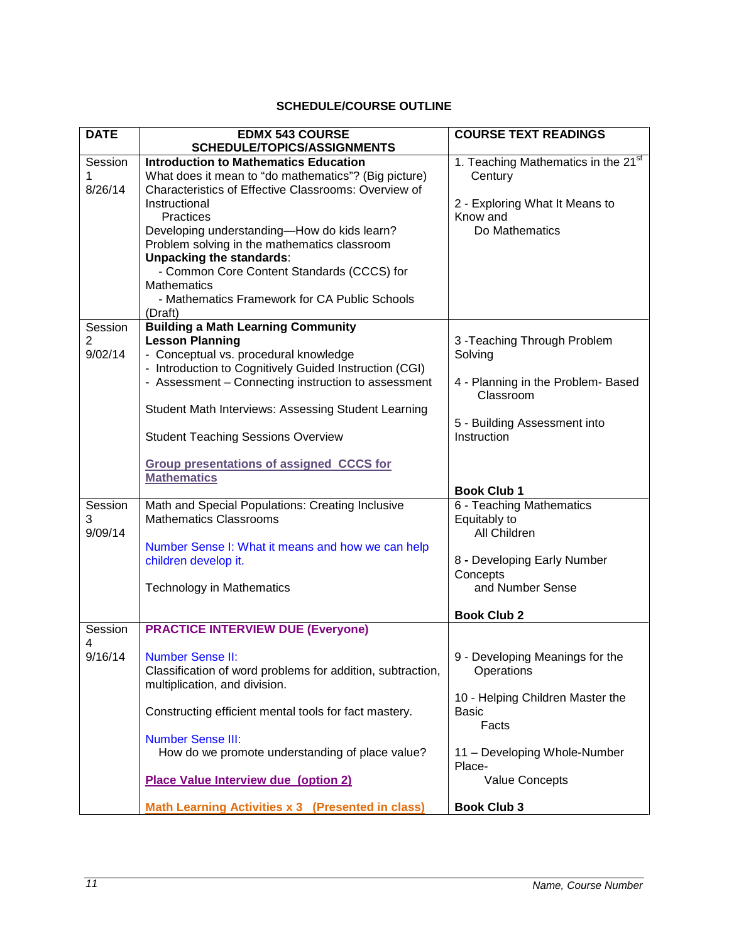# **SCHEDULE/COURSE OUTLINE**

<span id="page-10-0"></span>

| <b>DATE</b> | <b>EDMX 543 COURSE</b>                                     | <b>COURSE TEXT READINGS</b>                     |
|-------------|------------------------------------------------------------|-------------------------------------------------|
|             | SCHEDULE/TOPICS/ASSIGNMENTS                                |                                                 |
| Session     | <b>Introduction to Mathematics Education</b>               | 1. Teaching Mathematics in the 21 <sup>st</sup> |
|             | What does it mean to "do mathematics"? (Big picture)       | Century                                         |
| 8/26/14     | Characteristics of Effective Classrooms: Overview of       |                                                 |
|             | Instructional                                              | 2 - Exploring What It Means to                  |
|             | Practices                                                  | Know and                                        |
|             | Developing understanding-How do kids learn?                | Do Mathematics                                  |
|             | Problem solving in the mathematics classroom               |                                                 |
|             | <b>Unpacking the standards:</b>                            |                                                 |
|             | - Common Core Content Standards (CCCS) for                 |                                                 |
|             | <b>Mathematics</b>                                         |                                                 |
|             | - Mathematics Framework for CA Public Schools              |                                                 |
|             | (Draft)                                                    |                                                 |
| Session     | <b>Building a Math Learning Community</b>                  |                                                 |
| 2           | <b>Lesson Planning</b>                                     | 3-Teaching Through Problem                      |
| 9/02/14     | - Conceptual vs. procedural knowledge                      | Solving                                         |
|             | - Introduction to Cognitively Guided Instruction (CGI)     |                                                 |
|             | - Assessment - Connecting instruction to assessment        | 4 - Planning in the Problem- Based              |
|             |                                                            | Classroom                                       |
|             | Student Math Interviews: Assessing Student Learning        |                                                 |
|             |                                                            | 5 - Building Assessment into                    |
|             | <b>Student Teaching Sessions Overview</b>                  | Instruction                                     |
|             |                                                            |                                                 |
|             | <b>Group presentations of assigned CCCS for</b>            |                                                 |
|             | <b>Mathematics</b>                                         |                                                 |
|             |                                                            | <b>Book Club 1</b>                              |
| Session     | Math and Special Populations: Creating Inclusive           | 6 - Teaching Mathematics                        |
| 3           | <b>Mathematics Classrooms</b>                              | Equitably to                                    |
| 9/09/14     |                                                            | All Children                                    |
|             | Number Sense I: What it means and how we can help          |                                                 |
|             | children develop it.                                       | 8 - Developing Early Number                     |
|             |                                                            | Concepts                                        |
|             | <b>Technology in Mathematics</b>                           | and Number Sense                                |
|             |                                                            |                                                 |
|             |                                                            | <b>Book Club 2</b>                              |
| Session     | <b>PRACTICE INTERVIEW DUE (Everyone)</b>                   |                                                 |
| 4           |                                                            |                                                 |
| 9/16/14     | <b>Number Sense II:</b>                                    | 9 - Developing Meanings for the                 |
|             | Classification of word problems for addition, subtraction, | Operations                                      |
|             | multiplication, and division.                              |                                                 |
|             |                                                            | 10 - Helping Children Master the                |
|             | Constructing efficient mental tools for fact mastery.      | Basic                                           |
|             |                                                            | Facts                                           |
|             | <b>Number Sense III:</b>                                   |                                                 |
|             | How do we promote understanding of place value?            | 11 - Developing Whole-Number                    |
|             |                                                            | Place-                                          |
|             | <b>Place Value Interview due (option 2)</b>                | <b>Value Concepts</b>                           |
|             |                                                            | <b>Book Club 3</b>                              |
|             | <b>Math Learning Activities x 3 (Presented in class)</b>   |                                                 |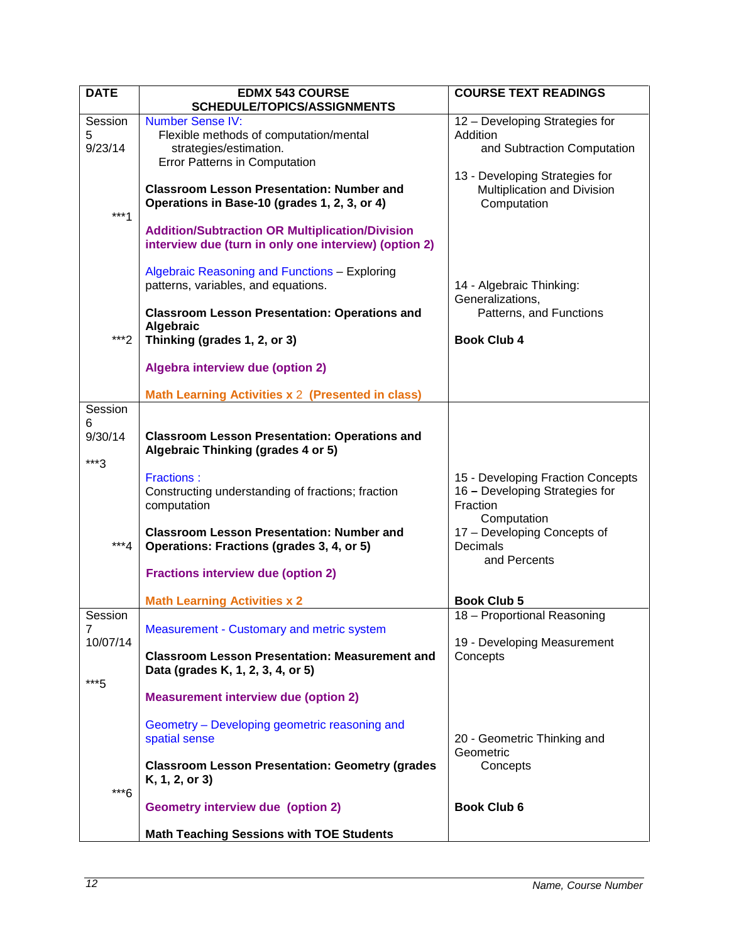| <b>DATE</b>              | <b>EDMX 543 COURSE</b><br>SCHEDULE/TOPICS/ASSIGNMENTS                                                                                                                                                                            | <b>COURSE TEXT READINGS</b>                                                                                                                               |
|--------------------------|----------------------------------------------------------------------------------------------------------------------------------------------------------------------------------------------------------------------------------|-----------------------------------------------------------------------------------------------------------------------------------------------------------|
| Session<br>5<br>9/23/14  | <b>Number Sense IV:</b><br>Flexible methods of computation/mental<br>strategies/estimation.<br>Error Patterns in Computation<br><b>Classroom Lesson Presentation: Number and</b><br>Operations in Base-10 (grades 1, 2, 3, or 4) | 12 - Developing Strategies for<br>Addition<br>and Subtraction Computation<br>13 - Developing Strategies for<br>Multiplication and Division<br>Computation |
| $***1$                   | <b>Addition/Subtraction OR Multiplication/Division</b><br>interview due (turn in only one interview) (option 2)<br>Algebraic Reasoning and Functions - Exploring<br>patterns, variables, and equations.                          | 14 - Algebraic Thinking:                                                                                                                                  |
| ***?                     | <b>Classroom Lesson Presentation: Operations and</b><br>Algebraic<br>Thinking (grades 1, 2, or 3)<br>Algebra interview due (option 2)                                                                                            | Generalizations,<br>Patterns, and Functions<br><b>Book Club 4</b>                                                                                         |
|                          | Math Learning Activities x 2 (Presented in class)                                                                                                                                                                                |                                                                                                                                                           |
| Session<br>6<br>9/30/14  | <b>Classroom Lesson Presentation: Operations and</b><br>Algebraic Thinking (grades 4 or 5)                                                                                                                                       |                                                                                                                                                           |
| ***3                     | <b>Fractions:</b><br>Constructing understanding of fractions; fraction<br>computation                                                                                                                                            | 15 - Developing Fraction Concepts<br>16 - Developing Strategies for<br>Fraction<br>Computation                                                            |
| $***4$                   | <b>Classroom Lesson Presentation: Number and</b><br>Operations: Fractions (grades 3, 4, or 5)                                                                                                                                    | 17 - Developing Concepts of<br><b>Decimals</b><br>and Percents                                                                                            |
|                          | <b>Fractions interview due (option 2)</b>                                                                                                                                                                                        |                                                                                                                                                           |
|                          | <b>Math Learning Activities x 2</b>                                                                                                                                                                                              | <b>Book Club 5</b><br>18 - Proportional Reasoning                                                                                                         |
| Session<br>7<br>10/07/14 | Measurement - Customary and metric system                                                                                                                                                                                        | 19 - Developing Measurement                                                                                                                               |
| ***5                     | <b>Classroom Lesson Presentation: Measurement and</b><br>Data (grades K, 1, 2, 3, 4, or 5)                                                                                                                                       | Concepts                                                                                                                                                  |
|                          | <b>Measurement interview due (option 2)</b>                                                                                                                                                                                      |                                                                                                                                                           |
|                          | Geometry - Developing geometric reasoning and<br>spatial sense                                                                                                                                                                   | 20 - Geometric Thinking and<br>Geometric                                                                                                                  |
|                          | <b>Classroom Lesson Presentation: Geometry (grades</b><br>K, 1, 2, or 3)                                                                                                                                                         | Concepts                                                                                                                                                  |
| ***6                     | <b>Geometry interview due (option 2)</b>                                                                                                                                                                                         | <b>Book Club 6</b>                                                                                                                                        |
|                          | <b>Math Teaching Sessions with TOE Students</b>                                                                                                                                                                                  |                                                                                                                                                           |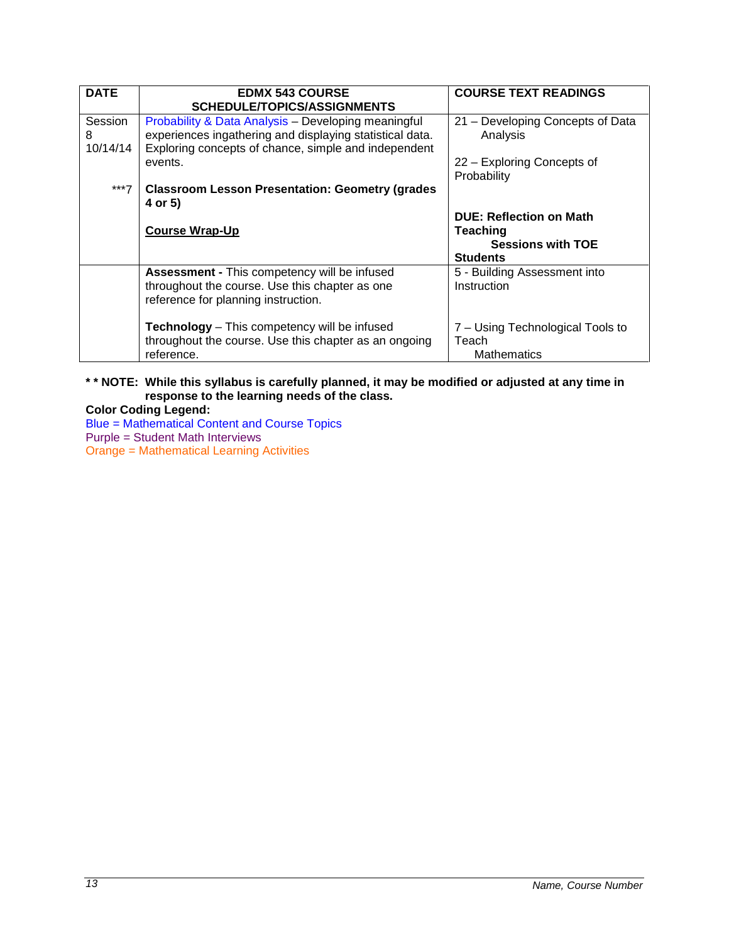| <b>DATE</b>  | <b>EDMX 543 COURSE</b><br><b>SCHEDULE/TOPICS/ASSIGNMENTS</b>                                                                          | <b>COURSE TEXT READINGS</b>                                     |
|--------------|---------------------------------------------------------------------------------------------------------------------------------------|-----------------------------------------------------------------|
| Session<br>8 | Probability & Data Analysis - Developing meaningful<br>experiences ingathering and displaying statistical data.                       | 21 - Developing Concepts of Data<br>Analysis                    |
| 10/14/14     | Exploring concepts of chance, simple and independent                                                                                  |                                                                 |
|              | events.                                                                                                                               | 22 – Exploring Concepts of<br>Probability                       |
| ***7         | <b>Classroom Lesson Presentation: Geometry (grades)</b><br>4 or 5)                                                                    |                                                                 |
|              |                                                                                                                                       | <b>DUE: Reflection on Math</b>                                  |
|              | <b>Course Wrap-Up</b>                                                                                                                 | Teaching<br><b>Sessions with TOE</b>                            |
|              |                                                                                                                                       | <b>Students</b>                                                 |
|              | Assessment - This competency will be infused<br>throughout the course. Use this chapter as one<br>reference for planning instruction. | 5 - Building Assessment into<br>Instruction                     |
|              | <b>Technology</b> – This competency will be infused<br>throughout the course. Use this chapter as an ongoing<br>reference.            | 7 – Using Technological Tools to<br>Teach<br><b>Mathematics</b> |

## **\* \* NOTE: While this syllabus is carefully planned, it may be modified or adjusted at any time in response to the learning needs of the class.**

**Color Coding Legend:** Blue = Mathematical Content and Course Topics Purple = Student Math Interviews Orange = Mathematical Learning Activities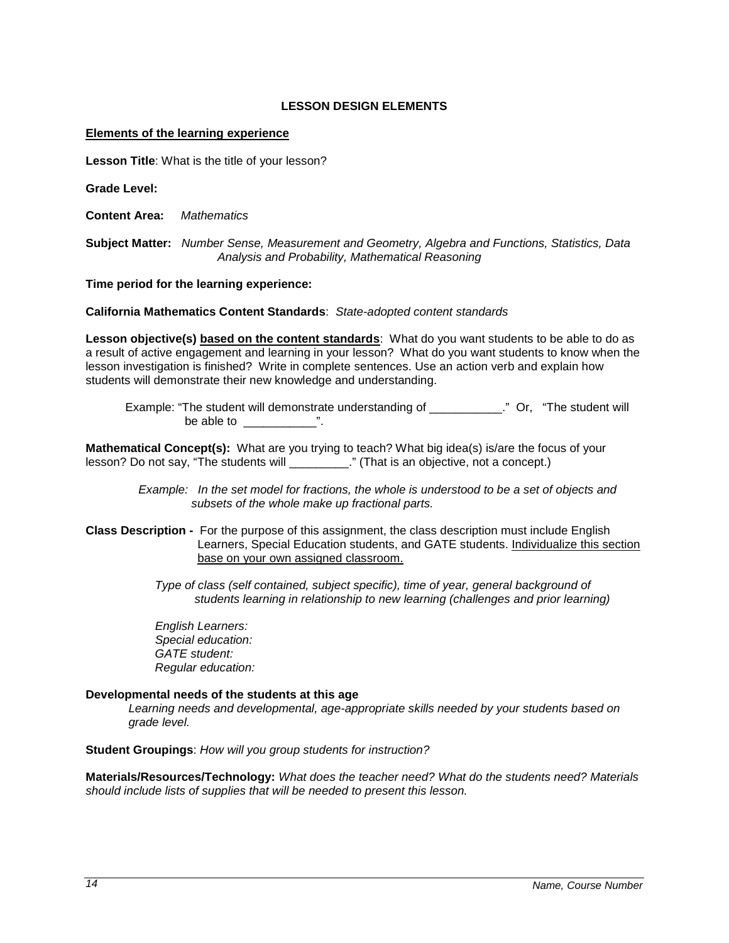## **LESSON DESIGN ELEMENTS**

#### <span id="page-13-0"></span>**Elements of the learning experience**

**Lesson Title**: What is the title of your lesson?

**Grade Level:**

**Content Area:** *Mathematics*

**Subject Matter:** *Number Sense, Measurement and Geometry, Algebra and Functions, Statistics, Data Analysis and Probability, Mathematical Reasoning*

**Time period for the learning experience:** 

**California Mathematics Content Standards**: *State-adopted content standards*

**Lesson objective(s) based on the content standards**: What do you want students to be able to do as a result of active engagement and learning in your lesson? What do you want students to know when the lesson investigation is finished? Write in complete sentences. Use an action verb and explain how students will demonstrate their new knowledge and understanding.

 Example: "The student will demonstrate understanding of \_\_\_\_\_\_\_\_\_\_\_." Or, "The student will be able to  $\qquad$  ".

**Mathematical Concept(s):** What are you trying to teach? What big idea(s) is/are the focus of your lesson? Do not say, "The students will \_\_\_\_\_\_\_\_\_\_." (That is an objective, not a concept.)

> *Example: In the set model for fractions, the whole is understood to be a set of objects and subsets of the whole make up fractional parts.*

**Class Description -** For the purpose of this assignment, the class description must include English Learners, Special Education students, and GATE students. Individualize this section base on your own assigned classroom.

> *Type of class (self contained, subject specific), time of year, general background of students learning in relationship to new learning (challenges and prior learning)*

 *English Learners: Special education: GATE student: Regular education:* 

#### **Developmental needs of the students at this age**

*Learning needs and developmental, age-appropriate skills needed by your students based on grade level.*

**Student Groupings**: *How will you group students for instruction?*

**Materials/Resources/Technology:** *What does the teacher need? What do the students need? Materials should include lists of supplies that will be needed to present this lesson.*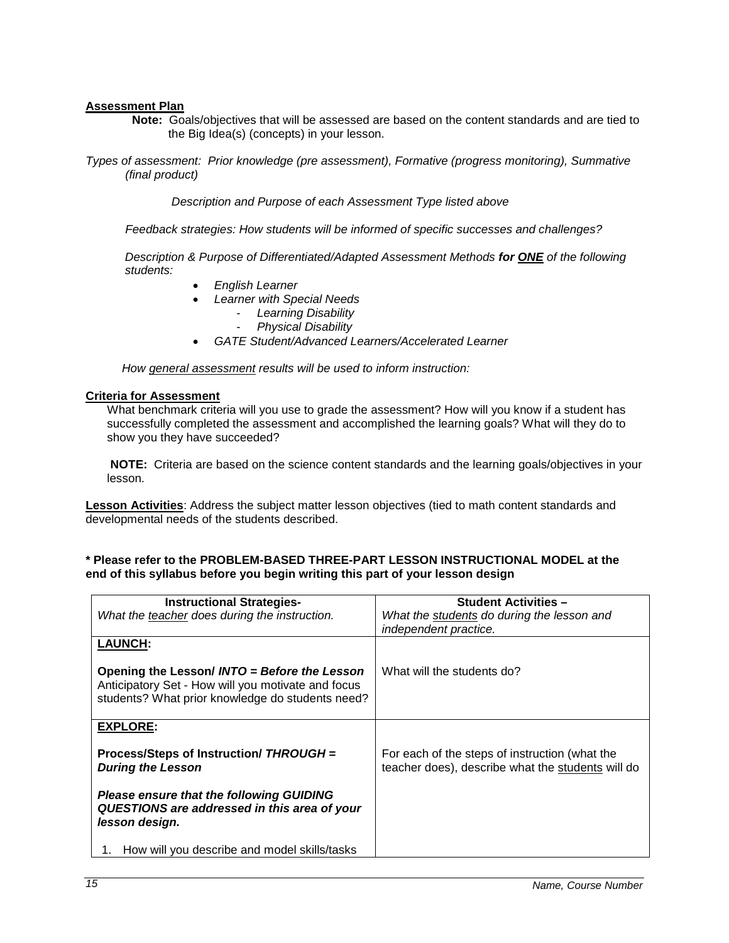#### **Assessment Plan**

- **Note:** Goals/objectives that will be assessed are based on the content standards and are tied to the Big Idea(s) (concepts) in your lesson.
- *Types of assessment: Prior knowledge (pre assessment), Formative (progress monitoring), Summative (final product)*

 *Description and Purpose of each Assessment Type listed above* 

 *Feedback strategies: How students will be informed of specific successes and challenges?*

*Description & Purpose of Differentiated/Adapted Assessment Methods for ONE of the following students:*

- *English Learner*
- *Learner with Special Needs*
	- *Learning Disability*
		- *Physical Disability*
- *GATE Student/Advanced Learners/Accelerated Learner*

 *How general assessment results will be used to inform instruction:*

#### **Criteria for Assessment**

What benchmark criteria will you use to grade the assessment? How will you know if a student has successfully completed the assessment and accomplished the learning goals? What will they do to show you they have succeeded?

**NOTE:** Criteria are based on the science content standards and the learning goals/objectives in your lesson.

**Lesson Activities**: Address the subject matter lesson objectives (tied to math content standards and developmental needs of the students described.

## **\* Please refer to the PROBLEM-BASED THREE-PART LESSON INSTRUCTIONAL MODEL at the end of this syllabus before you begin writing this part of your lesson design**

| <b>Instructional Strategies-</b>                                                                                                                       | <b>Student Activities -</b>                                                                         |
|--------------------------------------------------------------------------------------------------------------------------------------------------------|-----------------------------------------------------------------------------------------------------|
| What the teacher does during the instruction.                                                                                                          | What the students do during the lesson and                                                          |
|                                                                                                                                                        | independent practice.                                                                               |
| <b>LAUNCH:</b>                                                                                                                                         |                                                                                                     |
| Opening the Lesson/ INTO = Before the Lesson<br>Anticipatory Set - How will you motivate and focus<br>students? What prior knowledge do students need? | What will the students do?                                                                          |
| <b>EXPLORE:</b>                                                                                                                                        |                                                                                                     |
| Process/Steps of Instruction/ THROUGH =<br><b>During the Lesson</b>                                                                                    | For each of the steps of instruction (what the<br>teacher does), describe what the students will do |
| <b>Please ensure that the following GUIDING</b><br>QUESTIONS are addressed in this area of your<br>lesson design.                                      |                                                                                                     |
| How will you describe and model skills/tasks<br>1.                                                                                                     |                                                                                                     |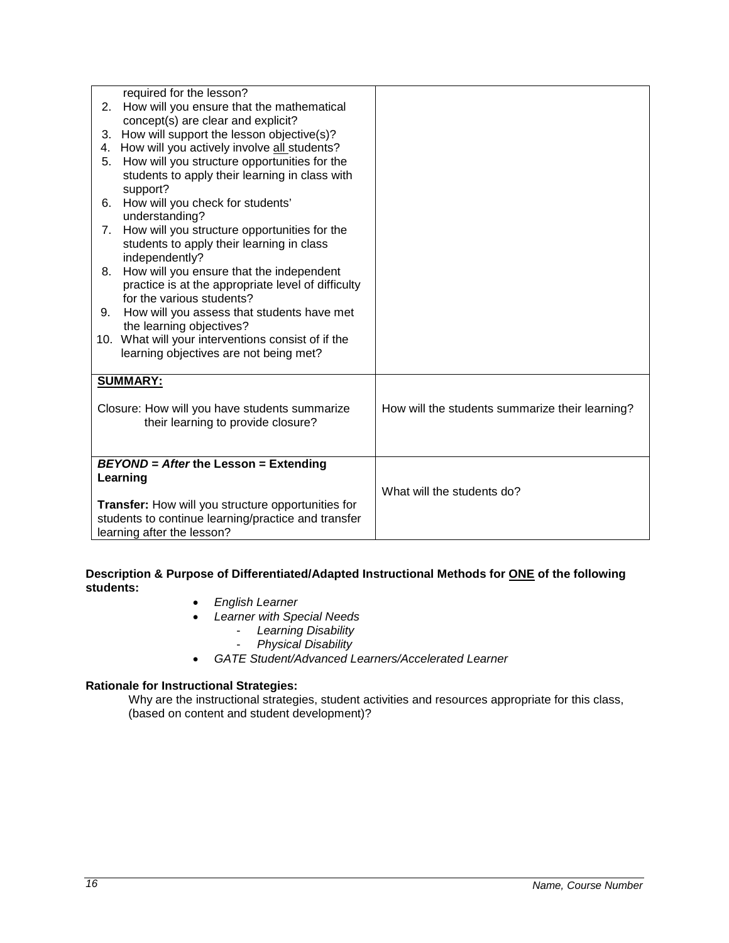|                                                     | required for the lesson?                                 |                                                 |
|-----------------------------------------------------|----------------------------------------------------------|-------------------------------------------------|
| 2.                                                  | How will you ensure that the mathematical                |                                                 |
|                                                     | concept(s) are clear and explicit?                       |                                                 |
| 3.                                                  | How will support the lesson objective(s)?                |                                                 |
| 4.                                                  | How will you actively involve all students?              |                                                 |
| 5.                                                  | How will you structure opportunities for the             |                                                 |
|                                                     | students to apply their learning in class with           |                                                 |
|                                                     | support?                                                 |                                                 |
| 6.                                                  | How will you check for students'                         |                                                 |
|                                                     | understanding?                                           |                                                 |
| 7.                                                  | How will you structure opportunities for the             |                                                 |
|                                                     | students to apply their learning in class                |                                                 |
|                                                     | independently?                                           |                                                 |
| 8.                                                  | How will you ensure that the independent                 |                                                 |
|                                                     | practice is at the appropriate level of difficulty       |                                                 |
|                                                     | for the various students?                                |                                                 |
| 9.                                                  | How will you assess that students have met               |                                                 |
|                                                     | the learning objectives?                                 |                                                 |
|                                                     | 10. What will your interventions consist of if the       |                                                 |
|                                                     | learning objectives are not being met?                   |                                                 |
|                                                     | <b>SUMMARY:</b>                                          |                                                 |
|                                                     |                                                          |                                                 |
|                                                     | Closure: How will you have students summarize            | How will the students summarize their learning? |
|                                                     | their learning to provide closure?                       |                                                 |
|                                                     |                                                          |                                                 |
|                                                     |                                                          |                                                 |
|                                                     | <b>BEYOND</b> = After the Lesson = Extending<br>Learning |                                                 |
|                                                     |                                                          | What will the students do?                      |
| Transfer: How will you structure opportunities for  |                                                          |                                                 |
| students to continue learning/practice and transfer |                                                          |                                                 |
|                                                     | learning after the lesson?                               |                                                 |
|                                                     |                                                          |                                                 |

## **Description & Purpose of Differentiated/Adapted Instructional Methods for ONE of the following students:**

- *English Learner*
- *Learner with Special Needs*
	- *Learning Disability*
	- *Physical Disability*
- *GATE Student/Advanced Learners/Accelerated Learner*

## **Rationale for Instructional Strategies:**

Why are the instructional strategies, student activities and resources appropriate for this class, (based on content and student development)?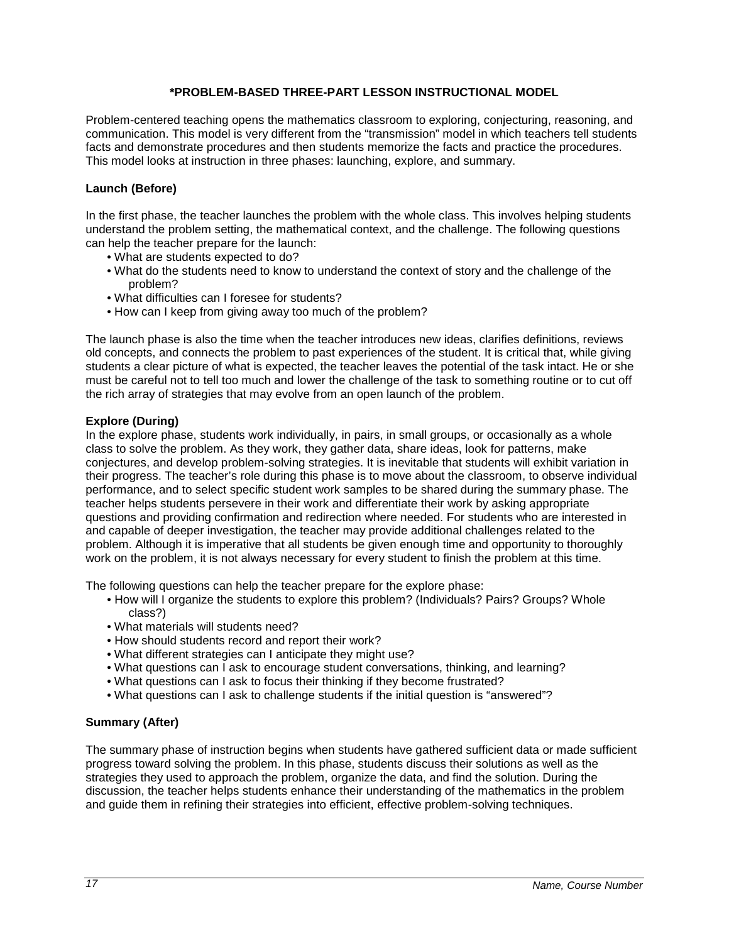## **\*PROBLEM-BASED THREE-PART LESSON INSTRUCTIONAL MODEL**

<span id="page-16-0"></span>Problem-centered teaching opens the mathematics classroom to exploring, conjecturing, reasoning, and communication. This model is very different from the "transmission" model in which teachers tell students facts and demonstrate procedures and then students memorize the facts and practice the procedures. This model looks at instruction in three phases: launching, explore, and summary.

## **Launch (Before)**

In the first phase, the teacher launches the problem with the whole class. This involves helping students understand the problem setting, the mathematical context, and the challenge. The following questions can help the teacher prepare for the launch:

- What are students expected to do?
- What do the students need to know to understand the context of story and the challenge of the problem?
- What difficulties can I foresee for students?
- How can I keep from giving away too much of the problem?

The launch phase is also the time when the teacher introduces new ideas, clarifies definitions, reviews old concepts, and connects the problem to past experiences of the student. It is critical that, while giving students a clear picture of what is expected, the teacher leaves the potential of the task intact. He or she must be careful not to tell too much and lower the challenge of the task to something routine or to cut off the rich array of strategies that may evolve from an open launch of the problem.

## **Explore (During)**

In the explore phase, students work individually, in pairs, in small groups, or occasionally as a whole class to solve the problem. As they work, they gather data, share ideas, look for patterns, make conjectures, and develop problem-solving strategies. It is inevitable that students will exhibit variation in their progress. The teacher's role during this phase is to move about the classroom, to observe individual performance, and to select specific student work samples to be shared during the summary phase. The teacher helps students persevere in their work and differentiate their work by asking appropriate questions and providing confirmation and redirection where needed. For students who are interested in and capable of deeper investigation, the teacher may provide additional challenges related to the problem. Although it is imperative that all students be given enough time and opportunity to thoroughly work on the problem, it is not always necessary for every student to finish the problem at this time.

The following questions can help the teacher prepare for the explore phase:

- How will I organize the students to explore this problem? (Individuals? Pairs? Groups? Whole class?)
- What materials will students need?
- How should students record and report their work?
- What different strategies can I anticipate they might use?
- What questions can I ask to encourage student conversations, thinking, and learning?
- What questions can I ask to focus their thinking if they become frustrated?
- What questions can I ask to challenge students if the initial question is "answered"?

#### **Summary (After)**

The summary phase of instruction begins when students have gathered sufficient data or made sufficient progress toward solving the problem. In this phase, students discuss their solutions as well as the strategies they used to approach the problem, organize the data, and find the solution. During the discussion, the teacher helps students enhance their understanding of the mathematics in the problem and guide them in refining their strategies into efficient, effective problem-solving techniques.